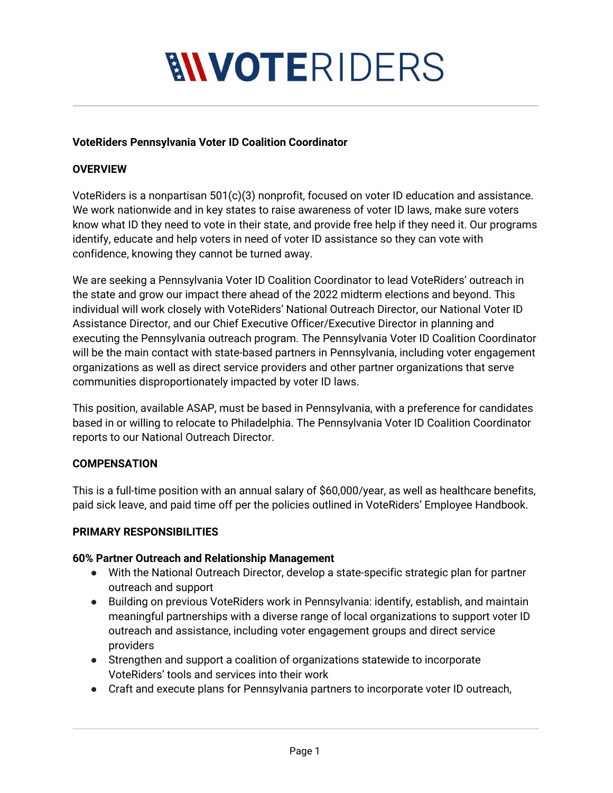# **MVOTERIDERS**

#### **VoteRiders Pennsylvania Voter ID Coalition Coordinator**

#### **OVERVIEW**

VoteRiders is a nonpartisan 501(c)(3) nonprofit, focused on voter ID education and assistance. We work nationwide and in key states to raise awareness of voter ID laws, make sure voters know what ID they need to vote in their state, and provide free help if they need it. Our programs identify, educate and help voters in need of voter ID assistance so they can vote with confidence, knowing they cannot be turned away.

We are seeking a Pennsylvania Voter ID Coalition Coordinator to lead VoteRiders' outreach in the state and grow our impact there ahead of the 2022 midterm elections and beyond. This individual will work closely with VoteRiders' National Outreach Director, our National Voter ID Assistance Director, and our Chief Executive Officer/Executive Director in planning and executing the Pennsylvania outreach program. The Pennsylvania Voter ID Coalition Coordinator will be the main contact with state-based partners in Pennsylvania, including voter engagement organizations as well as direct service providers and other partner organizations that serve communities disproportionately impacted by voter ID laws.

This position, available ASAP, must be based in Pennsylvania, with a preference for candidates based in or willing to relocate to Philadelphia. The Pennsylvania Voter ID Coalition Coordinator reports to our National Outreach Director.

#### **COMPENSATION**

This is a full-time position with an annual salary of \$60,000/year, as well as healthcare benefits, paid sick leave, and paid time off per the policies outlined in VoteRiders' Employee Handbook.

#### **PRIMARY RESPONSIBILITIES**

#### **60% Partner Outreach and Relationship Management**

- With the National Outreach Director, develop a state-specific strategic plan for partner outreach and support
- Building on previous VoteRiders work in Pennsylvania: identify, establish, and maintain meaningful partnerships with a diverse range of local organizations to support voter ID outreach and assistance, including voter engagement groups and direct service providers
- Strengthen and support a coalition of organizations statewide to incorporate VoteRiders' tools and services into their work
- Craft and execute plans for Pennsylvania partners to incorporate voter ID outreach,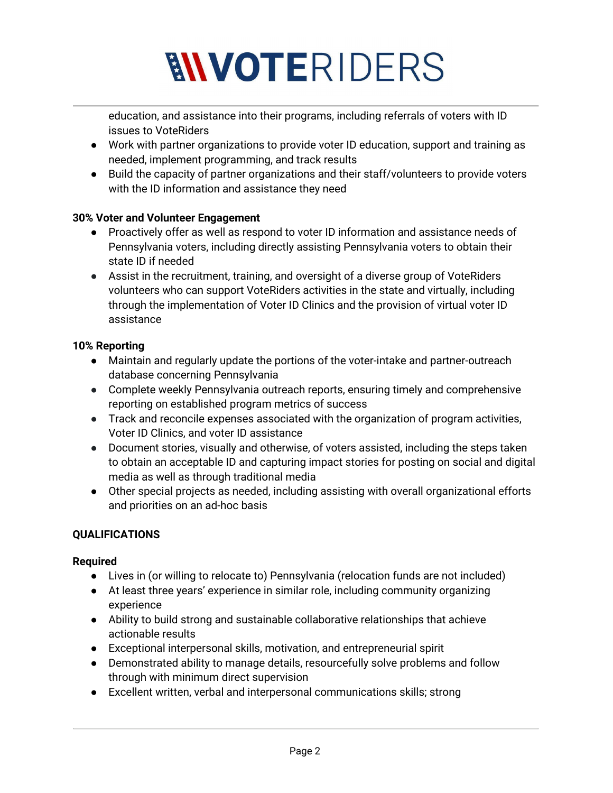# **MVOTERIDERS**

education, and assistance into their programs, including referrals of voters with ID issues to VoteRiders

- Work with partner organizations to provide voter ID education, support and training as needed, implement programming, and track results
- Build the capacity of partner organizations and their staff/volunteers to provide voters with the ID information and assistance they need

## **30% Voter and Volunteer Engagement**

- Proactively offer as well as respond to voter ID information and assistance needs of Pennsylvania voters, including directly assisting Pennsylvania voters to obtain their state ID if needed
- Assist in the recruitment, training, and oversight of a diverse group of VoteRiders volunteers who can support VoteRiders activities in the state and virtually, including through the implementation of Voter ID Clinics and the provision of virtual voter ID assistance

### **10% Reporting**

- Maintain and regularly update the portions of the voter-intake and partner-outreach database concerning Pennsylvania
- Complete weekly Pennsylvania outreach reports, ensuring timely and comprehensive reporting on established program metrics of success
- Track and reconcile expenses associated with the organization of program activities, Voter ID Clinics, and voter ID assistance
- Document stories, visually and otherwise, of voters assisted, including the steps taken to obtain an acceptable ID and capturing impact stories for posting on social and digital media as well as through traditional media
- Other special projects as needed, including assisting with overall organizational efforts and priorities on an ad-hoc basis

# **QUALIFICATIONS**

# **Required**

- Lives in (or willing to relocate to) Pennsylvania (relocation funds are not included)
- At least three years' experience in similar role, including community organizing experience
- Ability to build strong and sustainable collaborative relationships that achieve actionable results
- Exceptional interpersonal skills, motivation, and entrepreneurial spirit
- Demonstrated ability to manage details, resourcefully solve problems and follow through with minimum direct supervision
- Excellent written, verbal and interpersonal communications skills; strong